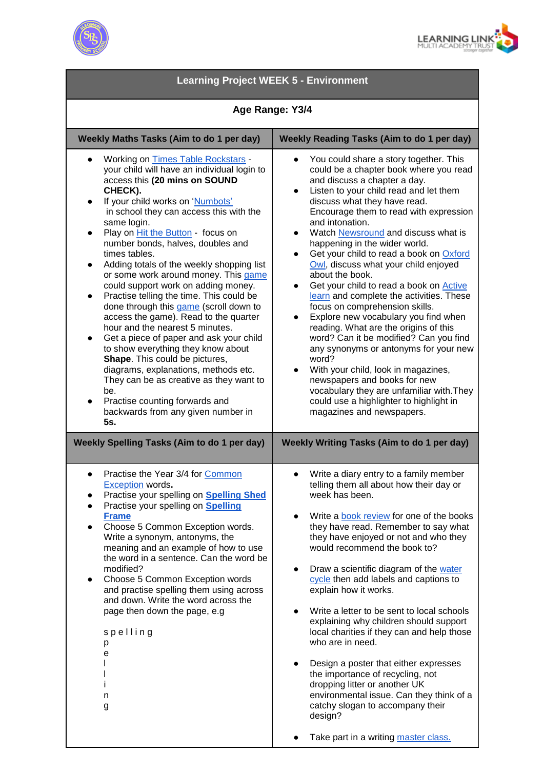



| <b>Learning Project WEEK 5 - Environment</b>                                                                                                                                                                                                                                                                                                                                                                                                                                                                                                                                                                                                                                                                                                                                                                                                                                                                                                                                |                                                                                                                                                                                                                                                                                                                                                                                                                                                                                                                                                                                                                                                                                                                                                                                                                                                                                                                                                                                                                       |
|-----------------------------------------------------------------------------------------------------------------------------------------------------------------------------------------------------------------------------------------------------------------------------------------------------------------------------------------------------------------------------------------------------------------------------------------------------------------------------------------------------------------------------------------------------------------------------------------------------------------------------------------------------------------------------------------------------------------------------------------------------------------------------------------------------------------------------------------------------------------------------------------------------------------------------------------------------------------------------|-----------------------------------------------------------------------------------------------------------------------------------------------------------------------------------------------------------------------------------------------------------------------------------------------------------------------------------------------------------------------------------------------------------------------------------------------------------------------------------------------------------------------------------------------------------------------------------------------------------------------------------------------------------------------------------------------------------------------------------------------------------------------------------------------------------------------------------------------------------------------------------------------------------------------------------------------------------------------------------------------------------------------|
| Age Range: Y3/4                                                                                                                                                                                                                                                                                                                                                                                                                                                                                                                                                                                                                                                                                                                                                                                                                                                                                                                                                             |                                                                                                                                                                                                                                                                                                                                                                                                                                                                                                                                                                                                                                                                                                                                                                                                                                                                                                                                                                                                                       |
| Weekly Maths Tasks (Aim to do 1 per day)                                                                                                                                                                                                                                                                                                                                                                                                                                                                                                                                                                                                                                                                                                                                                                                                                                                                                                                                    | <b>Weekly Reading Tasks (Aim to do 1 per day)</b>                                                                                                                                                                                                                                                                                                                                                                                                                                                                                                                                                                                                                                                                                                                                                                                                                                                                                                                                                                     |
| Working on Times Table Rockstars -<br>your child will have an individual login to<br>access this (20 mins on SOUND<br>CHECK).<br>If your child works on 'Numbots'<br>$\bullet$<br>in school they can access this with the<br>same login.<br>Play on <i>Hit the Button</i> - focus on<br>number bonds, halves, doubles and<br>times tables.<br>Adding totals of the weekly shopping list<br>$\bullet$<br>or some work around money. This game<br>could support work on adding money.<br>Practise telling the time. This could be<br>$\bullet$<br>done through this game (scroll down to<br>access the game). Read to the quarter<br>hour and the nearest 5 minutes.<br>Get a piece of paper and ask your child<br>$\bullet$<br>to show everything they know about<br>Shape. This could be pictures,<br>diagrams, explanations, methods etc.<br>They can be as creative as they want to<br>be.<br>Practise counting forwards and<br>backwards from any given number in<br>5s. | You could share a story together. This<br>$\bullet$<br>could be a chapter book where you read<br>and discuss a chapter a day.<br>Listen to your child read and let them<br>$\bullet$<br>discuss what they have read.<br>Encourage them to read with expression<br>and intonation.<br>Watch Newsround and discuss what is<br>$\bullet$<br>happening in the wider world.<br>Get your child to read a book on Oxford<br>$\bullet$<br>Owl, discuss what your child enjoyed<br>about the book.<br>Get your child to read a book on Active<br>$\bullet$<br>learn and complete the activities. These<br>focus on comprehension skills.<br>Explore new vocabulary you find when<br>$\bullet$<br>reading. What are the origins of this<br>word? Can it be modified? Can you find<br>any synonyms or antonyms for your new<br>word?<br>With your child, look in magazines,<br>newspapers and books for new<br>vocabulary they are unfamiliar with. They<br>could use a highlighter to highlight in<br>magazines and newspapers. |
| <b>Weekly Spelling Tasks (Aim to do 1 per day)</b><br>Practise the Year 3/4 for Common<br><b>Exception</b> words.                                                                                                                                                                                                                                                                                                                                                                                                                                                                                                                                                                                                                                                                                                                                                                                                                                                           | Weekly Writing Tasks (Aim to do 1 per day)<br>Write a diary entry to a family member<br>telling them all about how their day or                                                                                                                                                                                                                                                                                                                                                                                                                                                                                                                                                                                                                                                                                                                                                                                                                                                                                       |
| Practise your spelling on Spelling Shed<br>Practise your spelling on Spelling<br><b>Frame</b><br>Choose 5 Common Exception words.<br>Write a synonym, antonyms, the<br>meaning and an example of how to use<br>the word in a sentence. Can the word be<br>modified?<br>Choose 5 Common Exception words<br>$\bullet$<br>and practise spelling them using across<br>and down. Write the word across the<br>page then down the page, e.g<br>spelling<br>р<br>е<br>n<br>g                                                                                                                                                                                                                                                                                                                                                                                                                                                                                                       | week has been.<br>Write a <b>book</b> review for one of the books<br>$\bullet$<br>they have read. Remember to say what<br>they have enjoyed or not and who they<br>would recommend the book to?<br>Draw a scientific diagram of the water<br>$\bullet$<br>cycle then add labels and captions to<br>explain how it works.<br>Write a letter to be sent to local schools<br>explaining why children should support<br>local charities if they can and help those<br>who are in need.<br>Design a poster that either expresses<br>$\bullet$<br>the importance of recycling, not<br>dropping litter or another UK<br>environmental issue. Can they think of a<br>catchy slogan to accompany their<br>design?                                                                                                                                                                                                                                                                                                              |
|                                                                                                                                                                                                                                                                                                                                                                                                                                                                                                                                                                                                                                                                                                                                                                                                                                                                                                                                                                             | Take part in a writing master class.                                                                                                                                                                                                                                                                                                                                                                                                                                                                                                                                                                                                                                                                                                                                                                                                                                                                                                                                                                                  |